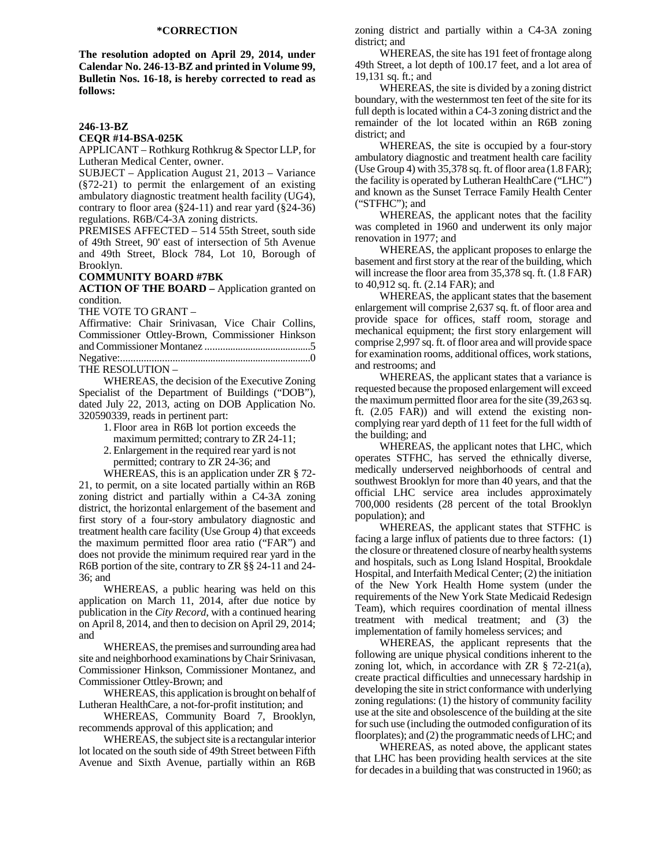# **\*CORRECTION**

**The resolution adopted on April 29, 2014, under Calendar No. 246-13-BZ and printed in Volume 99, Bulletin Nos. 16-18, is hereby corrected to read as follows:** 

#### **246-13-BZ**

#### **CEQR #14-BSA-025K**

APPLICANT – Rothkurg Rothkrug & Spector LLP, for Lutheran Medical Center, owner.

SUBJECT – Application August 21, 2013 – Variance (§72-21) to permit the enlargement of an existing ambulatory diagnostic treatment health facility (UG4), contrary to floor area (§24-11) and rear yard (§24-36) regulations. R6B/C4-3A zoning districts.

PREMISES AFFECTED – 514 55th Street, south side of 49th Street, 90' east of intersection of 5th Avenue and 49th Street, Block 784, Lot 10, Borough of Brooklyn.

#### **COMMUNITY BOARD #7BK**

**ACTION OF THE BOARD –** Application granted on condition.

THE VOTE TO GRANT –

Affirmative: Chair Srinivasan, Vice Chair Collins, Commissioner Ottley-Brown, Commissioner Hinkson and Commissioner Montanez ..........................................5 Negative:...........................................................................0

THE RESOLUTION –

WHEREAS, the decision of the Executive Zoning Specialist of the Department of Buildings ("DOB"), dated July 22, 2013, acting on DOB Application No. 320590339, reads in pertinent part:

> 1. Floor area in R6B lot portion exceeds the maximum permitted; contrary to ZR 24-11;

> 2. Enlargement in the required rear yard is not permitted; contrary to ZR 24-36; and

WHEREAS, this is an application under ZR § 72- 21, to permit, on a site located partially within an R6B zoning district and partially within a C4-3A zoning district, the horizontal enlargement of the basement and first story of a four-story ambulatory diagnostic and treatment health care facility (Use Group 4) that exceeds the maximum permitted floor area ratio ("FAR") and does not provide the minimum required rear yard in the R6B portion of the site, contrary to ZR §§ 24-11 and 24- 36; and

WHEREAS, a public hearing was held on this application on March 11, 2014, after due notice by publication in the *City Record*, with a continued hearing on April 8, 2014, and then to decision on April 29, 2014; and

WHEREAS, the premises and surrounding area had site and neighborhood examinations by Chair Srinivasan, Commissioner Hinkson, Commissioner Montanez, and Commissioner Ottley-Brown; and

WHEREAS, this application is brought on behalf of Lutheran HealthCare, a not-for-profit institution; and

WHEREAS, Community Board 7, Brooklyn, recommends approval of this application; and

WHEREAS, the subject site is a rectangular interior lot located on the south side of 49th Street between Fifth Avenue and Sixth Avenue, partially within an R6B

zoning district and partially within a C4-3A zoning district; and

WHEREAS, the site has 191 feet of frontage along 49th Street, a lot depth of 100.17 feet, and a lot area of 19,131 sq. ft.; and

WHEREAS, the site is divided by a zoning district boundary, with the westernmost ten feet of the site for its full depth is located within a C4-3 zoning district and the remainder of the lot located within an R6B zoning district; and

WHEREAS, the site is occupied by a four-story ambulatory diagnostic and treatment health care facility (Use Group 4) with  $35,378$  sq. ft. of floor area  $(1.8$  FAR); the facility is operated by Lutheran HealthCare ("LHC") and known as the Sunset Terrace Family Health Center ("STFHC"); and

WHEREAS, the applicant notes that the facility was completed in 1960 and underwent its only major renovation in 1977; and

WHEREAS, the applicant proposes to enlarge the basement and first story at the rear of the building, which will increase the floor area from 35,378 sq. ft. (1.8 FAR) to 40,912 sq. ft. (2.14 FAR); and

WHEREAS, the applicant states that the basement enlargement will comprise 2,637 sq. ft. of floor area and provide space for offices, staff room, storage and mechanical equipment; the first story enlargement will comprise 2,997 sq. ft. of floor area and will provide space for examination rooms, additional offices, work stations, and restrooms; and

WHEREAS, the applicant states that a variance is requested because the proposed enlargement will exceed the maximum permitted floor area for the site (39,263 sq. ft. (2.05 FAR)) and will extend the existing noncomplying rear yard depth of 11 feet for the full width of the building; and

WHEREAS, the applicant notes that LHC, which operates STFHC, has served the ethnically diverse, medically underserved neighborhoods of central and southwest Brooklyn for more than 40 years, and that the official LHC service area includes approximately 700,000 residents (28 percent of the total Brooklyn population); and

WHEREAS, the applicant states that STFHC is facing a large influx of patients due to three factors: (1) the closure or threatened closure of nearby health systems and hospitals, such as Long Island Hospital, Brookdale Hospital, and Interfaith Medical Center; (2) the initiation of the New York Health Home system (under the requirements of the New York State Medicaid Redesign Team), which requires coordination of mental illness treatment with medical treatment; and (3) the implementation of family homeless services; and

WHEREAS, the applicant represents that the following are unique physical conditions inherent to the zoning lot, which, in accordance with  $\text{ZR} \S$  72-21(a), create practical difficulties and unnecessary hardship in developing the site in strict conformance with underlying zoning regulations: (1) the history of community facility use at the site and obsolescence of the building at the site for such use (including the outmoded configuration of its floorplates); and (2) the programmatic needs of LHC; and

WHEREAS, as noted above, the applicant states that LHC has been providing health services at the site for decades in a building that was constructed in 1960; as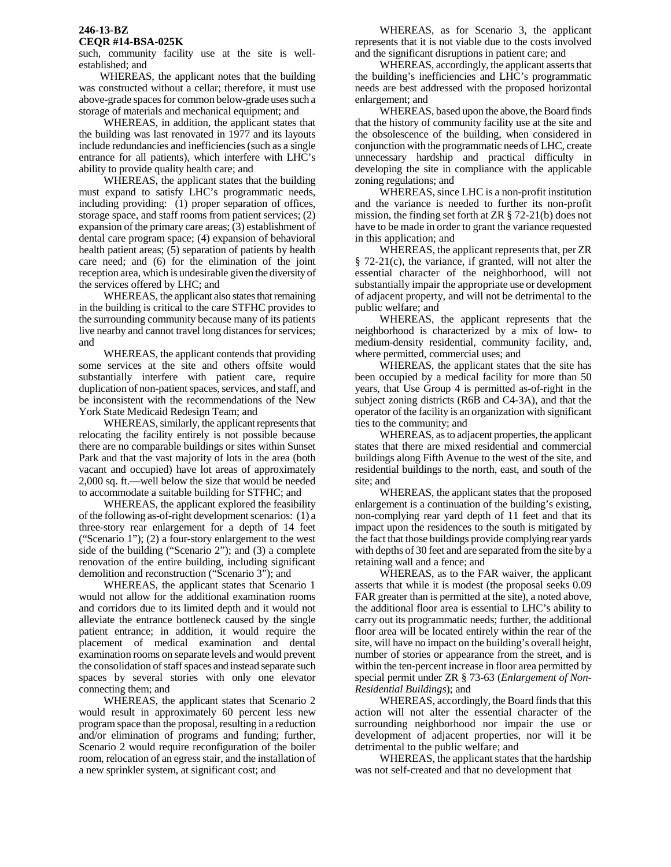### **246-13-BZ CEQR #14-BSA-025K**

such, community facility use at the site is wellestablished; and

 WHEREAS, the applicant notes that the building was constructed without a cellar; therefore, it must use above-grade spaces for common below-grade uses such a storage of materials and mechanical equipment; and

WHEREAS, in addition, the applicant states that the building was last renovated in 1977 and its layouts include redundancies and inefficiencies (such as a single entrance for all patients), which interfere with LHC's ability to provide quality health care; and

WHEREAS, the applicant states that the building must expand to satisfy LHC's programmatic needs, including providing: (1) proper separation of offices, storage space, and staff rooms from patient services; (2) expansion of the primary care areas; (3) establishment of dental care program space; (4) expansion of behavioral health patient areas; (5) separation of patients by health care need; and (6) for the elimination of the joint reception area, which is undesirable given the diversity of the services offered by LHC; and

WHEREAS, the applicant also states that remaining in the building is critical to the care STFHC provides to the surrounding community because many of its patients live nearby and cannot travel long distances for services; and

WHEREAS, the applicant contends that providing some services at the site and others offsite would substantially interfere with patient care, require duplication of non-patient spaces, services, and staff, and be inconsistent with the recommendations of the New York State Medicaid Redesign Team; and

WHEREAS, similarly, the applicant represents that relocating the facility entirely is not possible because there are no comparable buildings or sites within Sunset Park and that the vast majority of lots in the area (both vacant and occupied) have lot areas of approximately 2,000 sq. ft.—well below the size that would be needed to accommodate a suitable building for STFHC; and

WHEREAS, the applicant explored the feasibility of the following as-of-right development scenarios: (1) a three-story rear enlargement for a depth of 14 feet ("Scenario 1"); (2) a four-story enlargement to the west side of the building ("Scenario 2"); and (3) a complete renovation of the entire building, including significant demolition and reconstruction ("Scenario 3"); and

WHEREAS, the applicant states that Scenario 1 would not allow for the additional examination rooms and corridors due to its limited depth and it would not alleviate the entrance bottleneck caused by the single patient entrance; in addition, it would require the placement of medical examination and dental examination rooms on separate levels and would prevent the consolidation of staff spaces and instead separate such spaces by several stories with only one elevator connecting them; and

WHEREAS, the applicant states that Scenario 2 would result in approximately 60 percent less new program space than the proposal, resulting in a reduction and/or elimination of programs and funding; further, Scenario 2 would require reconfiguration of the boiler room, relocation of an egress stair, and the installation of a new sprinkler system, at significant cost; and

WHEREAS, as for Scenario 3, the applicant represents that it is not viable due to the costs involved and the significant disruptions in patient care; and

WHEREAS, accordingly, the applicant asserts that the building's inefficiencies and LHC's programmatic needs are best addressed with the proposed horizontal enlargement; and

WHEREAS, based upon the above, the Board finds that the history of community facility use at the site and the obsolescence of the building, when considered in conjunction with the programmatic needs of LHC, create unnecessary hardship and practical difficulty in developing the site in compliance with the applicable zoning regulations; and

WHEREAS, since LHC is a non-profit institution and the variance is needed to further its non-profit mission, the finding set forth at ZR § 72-21(b) does not have to be made in order to grant the variance requested in this application; and

WHEREAS, the applicant represents that, per ZR § 72-21(c), the variance, if granted, will not alter the essential character of the neighborhood, will not substantially impair the appropriate use or development of adjacent property, and will not be detrimental to the public welfare; and

WHEREAS, the applicant represents that the neighborhood is characterized by a mix of low- to medium-density residential, community facility, and, where permitted, commercial uses; and

WHEREAS, the applicant states that the site has been occupied by a medical facility for more than 50 years, that Use Group 4 is permitted as-of-right in the subject zoning districts (R6B and C4-3A), and that the operator of the facility is an organization with significant ties to the community; and

 WHEREAS, as to adjacent properties, the applicant states that there are mixed residential and commercial buildings along Fifth Avenue to the west of the site, and residential buildings to the north, east, and south of the site; and

WHEREAS, the applicant states that the proposed enlargement is a continuation of the building's existing, non-complying rear yard depth of 11 feet and that its impact upon the residences to the south is mitigated by the fact that those buildings provide complying rear yards with depths of 30 feet and are separated from the site by a retaining wall and a fence; and

WHEREAS, as to the FAR waiver, the applicant asserts that while it is modest (the proposal seeks 0.09 FAR greater than is permitted at the site), a noted above, the additional floor area is essential to LHC's ability to carry out its programmatic needs; further, the additional floor area will be located entirely within the rear of the site, will have no impact on the building's overall height, number of stories or appearance from the street, and is within the ten-percent increase in floor area permitted by special permit under ZR § 73-63 (*Enlargement of Non-Residential Buildings*); and

WHEREAS, accordingly, the Board finds that this action will not alter the essential character of the surrounding neighborhood nor impair the use or development of adjacent properties, nor will it be detrimental to the public welfare; and

WHEREAS, the applicant states that the hardship was not self-created and that no development that